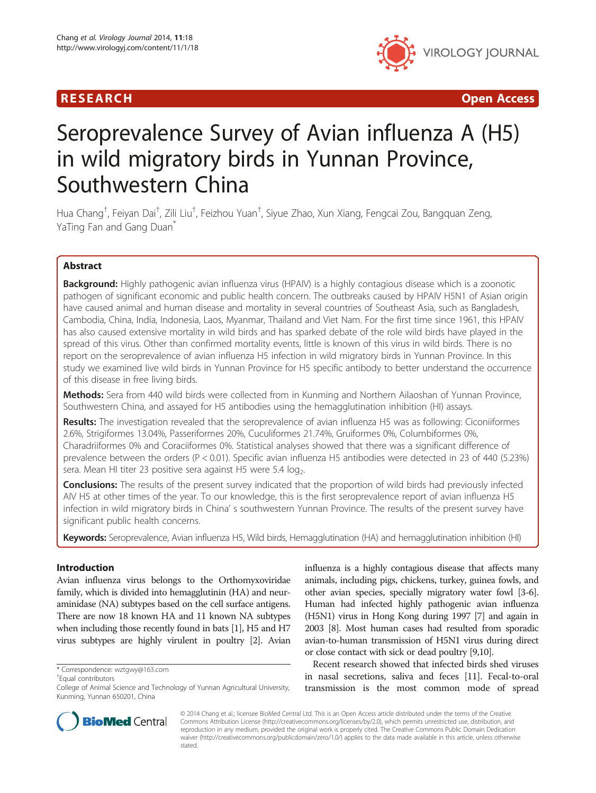

R E S EAR CH Open Access

# Seroprevalence Survey of Avian influenza A (H5) in wild migratory birds in Yunnan Province, Southwestern China

Hua Chang<sup>†</sup>, Feiyan Dai<sup>†</sup>, Zili Liu<sup>†</sup>, Feizhou Yuan<sup>†</sup>, Siyue Zhao, Xun Xiang, Fengcai Zou, Bangquan Zeng, YaTing Fan and Gang Duan<sup>\*</sup>

# Abstract

Background: Highly pathogenic avian influenza virus (HPAIV) is a highly contagious disease which is a zoonotic pathogen of significant economic and public health concern. The outbreaks caused by HPAIV H5N1 of Asian origin have caused animal and human disease and mortality in several countries of Southeast Asia, such as Bangladesh, Cambodia, China, India, Indonesia, Laos, Myanmar, Thailand and Viet Nam. For the first time since 1961, this HPAIV has also caused extensive mortality in wild birds and has sparked debate of the role wild birds have played in the spread of this virus. Other than confirmed mortality events, little is known of this virus in wild birds. There is no report on the seroprevalence of avian influenza H5 infection in wild migratory birds in Yunnan Province. In this study we examined live wild birds in Yunnan Province for H5 specific antibody to better understand the occurrence of this disease in free living birds.

Methods: Sera from 440 wild birds were collected from in Kunming and Northern Ailaoshan of Yunnan Province, Southwestern China, and assayed for H5 antibodies using the hemagglutination inhibition (HI) assays.

Results: The investigation revealed that the seroprevalence of avian influenza H5 was as following: Ciconiiformes 2.6%, Strigiformes 13.04%, Passeriformes 20%, Cuculiformes 21.74%, Gruiformes 0%, Columbiformes 0%, Charadriiformes 0% and Coraciiformes 0%. Statistical analyses showed that there was a significant difference of prevalence between the orders (P < 0.01). Specific avian influenza H5 antibodies were detected in 23 of 440 (5.23%) sera. Mean HI titer 23 positive sera against H5 were 5.4  $log<sub>2</sub>$ .

**Conclusions:** The results of the present survey indicated that the proportion of wild birds had previously infected AIV H5 at other times of the year. To our knowledge, this is the first seroprevalence report of avian influenza H5 infection in wild migratory birds in China' s southwestern Yunnan Province. The results of the present survey have significant public health concerns.

Keywords: Seroprevalence, Avian influenza H5, Wild birds, Hemagglutination (HA) and hemagglutination inhibition (HI)

# Introduction

Avian influenza virus belongs to the Orthomyxoviridae family, which is divided into hemagglutinin (HA) and neuraminidase (NA) subtypes based on the cell surface antigens. There are now 18 known HA and 11 known NA subtypes when including those recently found in bats [\[1\]](#page-3-0), H5 and H7 virus subtypes are highly virulent in poultry [[2](#page-3-0)]. Avian

Equal contributors

influenza is a highly contagious disease that affects many animals, including pigs, chickens, turkey, guinea fowls, and other avian species, specially migratory water fowl [[3](#page-3-0)-[6](#page-4-0)]. Human had infected highly pathogenic avian influenza (H5N1) virus in Hong Kong during 1997 [\[7\]](#page-4-0) and again in 2003 [\[8\]](#page-4-0). Most human cases had resulted from sporadic avian-to-human transmission of H5N1 virus during direct or close contact with sick or dead poultry [\[9,10\]](#page-4-0).

Recent research showed that infected birds shed viruses in nasal secretions, saliva and feces [\[11\]](#page-4-0). Fecal-to-oral transmission is the most common mode of spread



© 2014 Chang et al.; licensee BioMed Central Ltd. This is an Open Access article distributed under the terms of the Creative Commons Attribution License [\(http://creativecommons.org/licenses/by/2.0\)](http://creativecommons.org/licenses/by/2.0), which permits unrestricted use, distribution, and reproduction in any medium, provided the original work is properly cited. The Creative Commons Public Domain Dedication waiver [\(http://creativecommons.org/publicdomain/zero/1.0/\)](http://creativecommons.org/publicdomain/zero/1.0/) applies to the data made available in this article, unless otherwise stated.

<sup>\*</sup> Correspondence: [wztgwy@163.com](mailto:wztgwy@163.com) †

College of Animal Science and Technology of Yunnan Agricultural University, Kunming, Yunnan 650201, China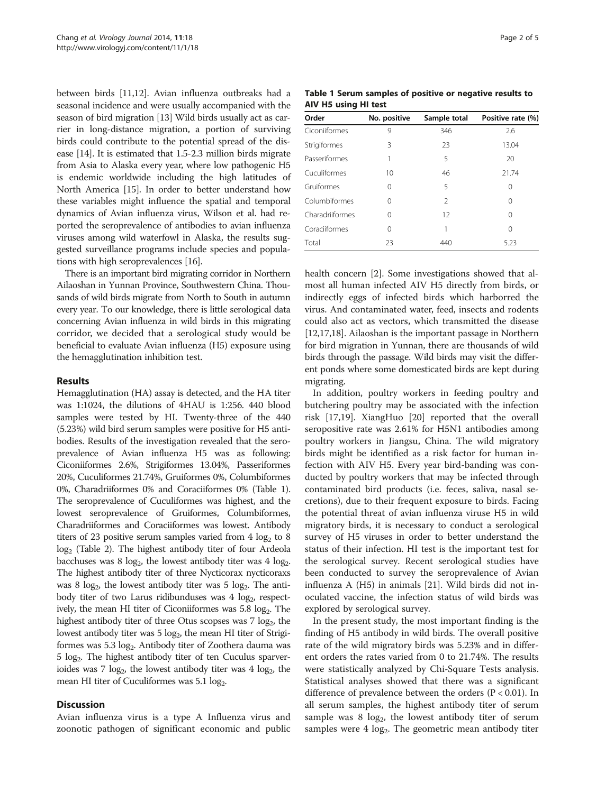between birds [\[11,12\]](#page-4-0). Avian influenza outbreaks had a seasonal incidence and were usually accompanied with the season of bird migration [[13](#page-4-0)] Wild birds usually act as carrier in long-distance migration, a portion of surviving birds could contribute to the potential spread of the disease [\[14](#page-4-0)]. It is estimated that 1.5-2.3 million birds migrate from Asia to Alaska every year, where low pathogenic H5 is endemic worldwide including the high latitudes of North America [\[15](#page-4-0)]. In order to better understand how these variables might influence the spatial and temporal dynamics of Avian influenza virus, Wilson et al. had reported the seroprevalence of antibodies to avian influenza viruses among wild waterfowl in Alaska, the results suggested surveillance programs include species and populations with high seroprevalences [[16](#page-4-0)].

There is an important bird migrating corridor in Northern Ailaoshan in Yunnan Province, Southwestern China. Thousands of wild birds migrate from North to South in autumn every year. To our knowledge, there is little serological data concerning Avian influenza in wild birds in this migrating corridor, we decided that a serological study would be beneficial to evaluate Avian influenza (H5) exposure using the hemagglutination inhibition test.

# Results

Hemagglutination (HA) assay is detected, and the HA titer was 1:1024, the dilutions of 4HAU is 1:256. 440 blood samples were tested by HI. Twenty-three of the 440 (5.23%) wild bird serum samples were positive for H5 antibodies. Results of the investigation revealed that the seroprevalence of Avian influenza H5 was as following: Ciconiiformes 2.6%, Strigiformes 13.04%, Passeriformes 20%, Cuculiformes 21.74%, Gruiformes 0%, Columbiformes 0%, Charadriiformes 0% and Coraciiformes 0% (Table 1). The seroprevalence of Cuculiformes was highest, and the lowest seroprevalence of Gruiformes, Columbiformes, Charadriiformes and Coraciiformes was lowest. Antibody titers of 23 positive serum samples varied from  $4 \log_2$  to  $8$ log<sub>2</sub> (Table [2\)](#page-2-0). The highest antibody titer of four Ardeola bacchuses was 8  $log_2$ , the lowest antibody titer was 4  $log_2$ . The highest antibody titer of three Nycticorax nycticoraxs was 8  $log<sub>2</sub>$ , the lowest antibody titer was 5  $log<sub>2</sub>$ . The antibody titer of two Larus ridibunduses was  $4 \log_2$ , respectively, the mean HI titer of Ciconiiformes was  $5.8 \log_2$ . The highest antibody titer of three Otus scopses was  $7 \log_2$ , the lowest antibody titer was  $5 \log_2$ , the mean HI titer of Strigiformes was 5.3 log<sub>2</sub>. Antibody titer of Zoothera dauma was 5 log2. The highest antibody titer of ten Cuculus sparverioides was  $7 \text{ log}_2$ , the lowest antibody titer was  $4 \text{ log}_2$ , the mean HI titer of Cuculiformes was  $5.1 \log_2$ .

#### **Discussion**

Avian influenza virus is a type A Influenza virus and zoonotic pathogen of significant economic and public

Table 1 Serum samples of positive or negative results to AIV H5 using HI test

| Order           | No. positive | Sample total   | Positive rate (%) |
|-----------------|--------------|----------------|-------------------|
| Ciconiiformes   | 9            | 346            | 2.6               |
| Strigiformes    | 3            | 23             | 13.04             |
| Passeriformes   | 1            | 5              | 20                |
| Cuculiformes    | 10           | 46             | 21.74             |
| Gruiformes      | $\Omega$     | 5              | ∩                 |
| Columbiformes   | $\Omega$     | $\mathfrak{D}$ | ∩                 |
| Charadriiformes | 0            | 12             | 0                 |
| Coraciiformes   | $\Omega$     | 1              | 0                 |
| Total           | 23           | 440            | 5.23              |

health concern [[2](#page-3-0)]. Some investigations showed that almost all human infected AIV H5 directly from birds, or indirectly eggs of infected birds which harborred the virus. And contaminated water, feed, insects and rodents could also act as vectors, which transmitted the disease [[12](#page-4-0),[17,18\]](#page-4-0). Ailaoshan is the important passage in Northern for bird migration in Yunnan, there are thousands of wild birds through the passage. Wild birds may visit the different ponds where some domesticated birds are kept during migrating.

In addition, poultry workers in feeding poultry and butchering poultry may be associated with the infection risk [\[17,19](#page-4-0)]. XiangHuo [[20\]](#page-4-0) reported that the overall seropositive rate was 2.61% for H5N1 antibodies among poultry workers in Jiangsu, China. The wild migratory birds might be identified as a risk factor for human infection with AIV H5. Every year bird-banding was conducted by poultry workers that may be infected through contaminated bird products (i.e. feces, saliva, nasal secretions), due to their frequent exposure to birds. Facing the potential threat of avian influenza viruse H5 in wild migratory birds, it is necessary to conduct a serological survey of H5 viruses in order to better understand the status of their infection. HI test is the important test for the serological survey. Recent serological studies have been conducted to survey the seroprevalence of Avian influenza A (H5) in animals [\[21](#page-4-0)]. Wild birds did not inoculated vaccine, the infection status of wild birds was explored by serological survey.

In the present study, the most important finding is the finding of H5 antibody in wild birds. The overall positive rate of the wild migratory birds was 5.23% and in different orders the rates varied from 0 to 21.74%. The results were statistically analyzed by Chi-Square Tests analysis. Statistical analyses showed that there was a significant difference of prevalence between the orders ( $P < 0.01$ ). In all serum samples, the highest antibody titer of serum sample was  $8 \log_2$ , the lowest antibody titer of serum samples were  $4 \text{ log}_2$ . The geometric mean antibody titer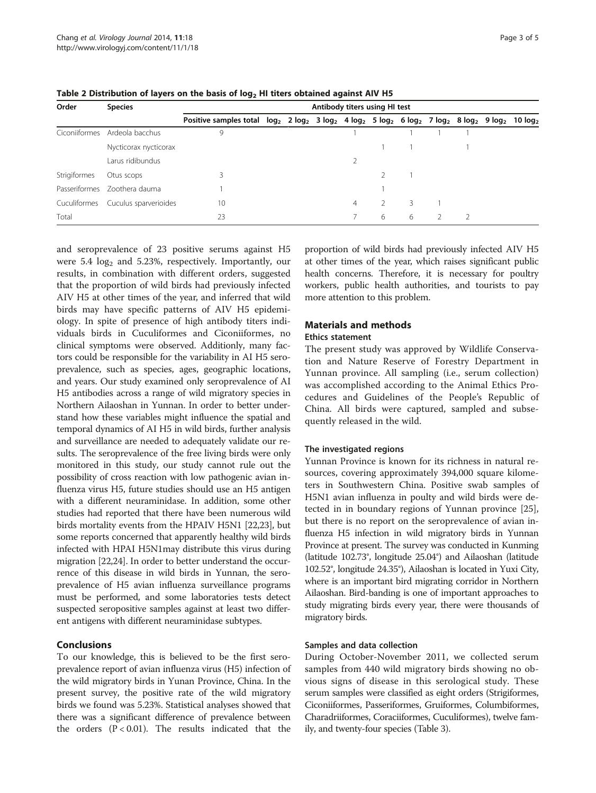| Order         | <b>Species</b>                     | Antibody titers using HI test                                                                                             |  |  |  |                |   |   |                |  |
|---------------|------------------------------------|---------------------------------------------------------------------------------------------------------------------------|--|--|--|----------------|---|---|----------------|--|
|               |                                    | Positive samples total $log_2$ 2 $log_2$ 3 $log_2$ 4 $log_2$ 5 $log_2$ 6 $log_2$ 7 $log_2$ 8 $log_2$ 9 $log_2$ 10 $log_2$ |  |  |  |                |   |   |                |  |
| Ciconiiformes | Ardeola bacchus                    | 9                                                                                                                         |  |  |  |                |   |   |                |  |
|               | Nycticorax nycticorax              |                                                                                                                           |  |  |  |                |   |   |                |  |
|               | Larus ridibundus                   |                                                                                                                           |  |  |  |                |   |   |                |  |
| Strigiformes  | Otus scops                         |                                                                                                                           |  |  |  |                |   |   |                |  |
| Passeriformes | Zoothera dauma                     |                                                                                                                           |  |  |  |                |   |   |                |  |
|               | Cuculiformes Cuculus sparverioides | 10                                                                                                                        |  |  |  | $\overline{4}$ |   |   |                |  |
| Total         |                                    | 23                                                                                                                        |  |  |  |                | 6 | 6 | $\overline{2}$ |  |

<span id="page-2-0"></span>Table 2 Distribution of layers on the basis of  $log<sub>2</sub>$  HI titers obtained against AIV H5

and seroprevalence of 23 positive serums against H5 were  $5.4 \log_2$  and  $5.23\%$ , respectively. Importantly, our results, in combination with different orders, suggested that the proportion of wild birds had previously infected AIV H5 at other times of the year, and inferred that wild birds may have specific patterns of AIV H5 epidemiology. In spite of presence of high antibody titers individuals birds in Cuculiformes and Ciconiiformes, no clinical symptoms were observed. Additionly, many factors could be responsible for the variability in AI H5 seroprevalence, such as species, ages, geographic locations, and years. Our study examined only seroprevalence of AI H5 antibodies across a range of wild migratory species in Northern Ailaoshan in Yunnan. In order to better understand how these variables might influence the spatial and temporal dynamics of AI H5 in wild birds, further analysis and surveillance are needed to adequately validate our results. The seroprevalence of the free living birds were only monitored in this study, our study cannot rule out the possibility of cross reaction with low pathogenic avian influenza virus H5, future studies should use an H5 antigen with a different neuraminidase. In addition, some other studies had reported that there have been numerous wild birds mortality events from the HPAIV H5N1 [[22,23](#page-4-0)], but some reports concerned that apparently healthy wild birds infected with HPAI H5N1may distribute this virus during migration [\[22,24\]](#page-4-0). In order to better understand the occurrence of this disease in wild birds in Yunnan, the seroprevalence of H5 avian influenza surveillance programs must be performed, and some laboratories tests detect suspected seropositive samples against at least two different antigens with different neuraminidase subtypes.

# **Conclusions**

To our knowledge, this is believed to be the first seroprevalence report of avian influenza virus (H5) infection of the wild migratory birds in Yunan Province, China. In the present survey, the positive rate of the wild migratory birds we found was 5.23%. Statistical analyses showed that there was a significant difference of prevalence between the orders  $(P < 0.01)$ . The results indicated that the

proportion of wild birds had previously infected AIV H5 at other times of the year, which raises significant public health concerns. Therefore, it is necessary for poultry workers, public health authorities, and tourists to pay more attention to this problem.

# Materials and methods

# Ethics statement

The present study was approved by Wildlife Conservation and Nature Reserve of Forestry Department in Yunnan province. All sampling (i.e., serum collection) was accomplished according to the Animal Ethics Procedures and Guidelines of the People's Republic of China. All birds were captured, sampled and subsequently released in the wild.

# The investigated regions

Yunnan Province is known for its richness in natural resources, covering approximately 394,000 square kilometers in Southwestern China. Positive swab samples of H5N1 avian influenza in poulty and wild birds were detected in in boundary regions of Yunnan province [\[25](#page-4-0)], but there is no report on the seroprevalence of avian influenza H5 infection in wild migratory birds in Yunnan Province at present. The survey was conducted in Kunming (latitude 102.73°, longitude 25.04°) and Ailaoshan (latitude 102.52°, longitude 24.35°), Ailaoshan is located in Yuxi City, where is an important bird migrating corridor in Northern Ailaoshan. Bird-banding is one of important approaches to study migrating birds every year, there were thousands of migratory birds.

#### Samples and data collection

During October-November 2011, we collected serum samples from 440 wild migratory birds showing no obvious signs of disease in this serological study. These serum samples were classified as eight orders (Strigiformes, Ciconiiformes, Passeriformes, Gruiformes, Columbiformes, Charadriiformes, Coraciiformes, Cuculiformes), twelve family, and twenty-four species (Table [3](#page-3-0)).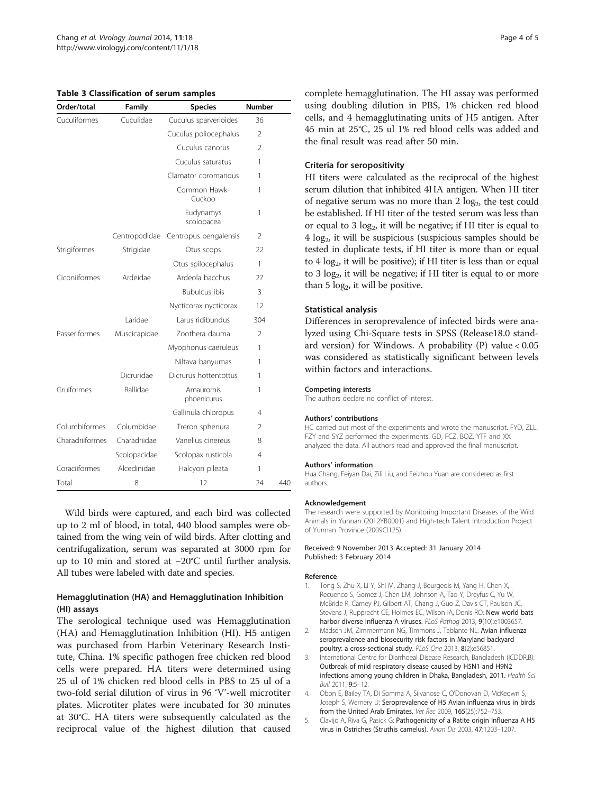#### <span id="page-3-0"></span>Table 3 Classification of serum samples

| Order/total     | Family<br><b>Species</b>           |                           | <b>Number</b>  |     |  |
|-----------------|------------------------------------|---------------------------|----------------|-----|--|
| Cuculiformes    | Cuculidae<br>Cuculus sparverioides |                           | 36             |     |  |
|                 |                                    | Cuculus poliocephalus     | $\mathfrak{D}$ |     |  |
|                 |                                    | Cuculus canorus           | 2              |     |  |
|                 |                                    | Cuculus saturatus         | 1              |     |  |
|                 |                                    | Clamator coromandus       | 1              |     |  |
|                 |                                    | Common Hawk-<br>Cuckoo    | 1              |     |  |
|                 |                                    | Eudynamys<br>scolopacea   | 1              |     |  |
|                 | Centropodidae                      | Centropus bengalensis     | 2              |     |  |
| Strigiformes    | Strigidae                          | Otus scops                | 22             |     |  |
|                 |                                    | Otus spilocephalus        | 1              |     |  |
| Ciconiiformes   | Ardeidae                           | Ardeola bacchus           | 27             |     |  |
|                 |                                    | <b>Bubulcus ibis</b>      | 3              |     |  |
|                 |                                    | Nycticorax nycticorax     | 12             |     |  |
|                 | I aridae                           | Larus ridibundus          | 304            |     |  |
| Passeriformes   | Muscicapidae                       | Zoothera dauma            | $\mathfrak{D}$ |     |  |
|                 |                                    | Myophonus caeruleus       | 1              |     |  |
|                 |                                    | Niltava banyumas          | 1              |     |  |
|                 | Dicruridae                         | Dicrurus hottentottus     | 1              |     |  |
| Gruiformes      | Rallidae                           | Amaurornis<br>phoenicurus | 1              |     |  |
|                 |                                    | Gallinula chloropus       | 4              |     |  |
| Columbiformes   | Columbidae                         | Treron sphenura           | 2              |     |  |
| Charadriiformes | Charadriidae                       | Vanellus cinereus         | 8              |     |  |
|                 | Scolopacidae                       | Scolopax rusticola        | 4              |     |  |
| Coraciiformes   | Alcedinidae                        | Halcyon pileata           |                |     |  |
| Total           | 8                                  | 12                        | 24             | 440 |  |

Wild birds were captured, and each bird was collected up to 2 ml of blood, in total, 440 blood samples were obtained from the wing vein of wild birds. After clotting and centrifugalization, serum was separated at 3000 rpm for up to 10 min and stored at −20°C until further analysis. All tubes were labeled with date and species.

# Hemagglutination (HA) and Hemagglutination Inhibition (HI) assays

The serological technique used was Hemagglutination (HA) and Hemagglutination Inhibition (HI). H5 antigen was purchased from Harbin Veterinary Research Institute, China. 1% specific pathogen free chicken red blood cells were prepared. HA titers were determined using 25 ul of 1% chicken red blood cells in PBS to 25 ul of a two-fold serial dilution of virus in 96 'V'-well microtiter plates. Microtiter plates were incubated for 30 minutes at 30°C. HA titers were subsequently calculated as the reciprocal value of the highest dilution that caused complete hemagglutination. The HI assay was performed using doubling dilution in PBS, 1% chicken red blood cells, and 4 hemagglutinating units of H5 antigen. After 45 min at 25°C, 25 ul 1% red blood cells was added and the final result was read after 50 min.

#### Criteria for seropositivity

HI titers were calculated as the reciprocal of the highest serum dilution that inhibited 4HA antigen. When HI titer of negative serum was no more than  $2 \log_2$ , the test could be established. If HI titer of the tested serum was less than or equal to  $3 \log_2$ , it will be negative; if HI titer is equal to  $4 \log_2$ , it will be suspicious (suspicious samples should be tested in duplicate tests, if HI titer is more than or equal to  $4 \log_2$ , it will be positive); if HI titer is less than or equal to 3  $log<sub>2</sub>$ , it will be negative; if HI titer is equal to or more than  $5 \log_2$ , it will be positive.

# Statistical analysis

Differences in seroprevalence of infected birds were analyzed using Chi-Square tests in SPSS (Release18.0 standard version) for Windows. A probability  $(P)$  value < 0.05 was considered as statistically significant between levels within factors and interactions.

#### Competing interests

The authors declare no conflict of interest.

#### Authors' contributions

HC carried out most of the experiments and wrote the manuscript. FYD, ZLL, FZY and SYZ performed the experiments. GD, FCZ, BQZ, YTF and XX analyzed the data. All authors read and approved the final manuscript.

#### Authors' information

Hua Chang, Feiyan Dai, Zili Liu, and Feizhou Yuan are considered as first authors.

#### Acknowledgement

The research were supported by Monitoring Important Diseases of the Wild Animals in Yunnan (2012YB0001) and High-tech Talent Introduction Project of Yunnan Province (2009CI125).

#### Received: 9 November 2013 Accepted: 31 January 2014 Published: 3 February 2014

#### Reference

- Tong S, Zhu X, Li Y, Shi M, Zhang J, Bourgeois M, Yang H, Chen X, Recuenco S, Gomez J, Chen LM, Johnson A, Tao Y, Dreyfus C, Yu W, McBride R, Carney PJ, Gilbert AT, Chang J, Guo Z, Davis CT, Paulson JC, Stevens J, Rupprecht CE, Holmes EC, Wilson IA, Donis RO: New world bats harbor diverse influenza A viruses. PLoS Pathog 2013, 9(10):e1003657
- 2. Madsen JM, Zimmermann NG, Timmons J, Tablante NL: Avian influenza seroprevalence and biosecurity risk factors in Maryland backyard poultry: a cross-sectional study. PLoS One 2013, <sup>8</sup>(2):e56851.
- International Centre for Diarrhoeal Disease Research, Bangladesh (ICDDR,B): Outbreak of mild respiratory disease caused by H5N1 and H9N2 infections among young children in Dhaka, Bangladesh, 2011. Health Sci Bull 2011, 9:5–12.
- 4. Obon E, Bailey TA, Di Somma A, Silvanose C, O'Donovan D, McKeown S, Joseph S, Wernery U: Seroprevalence of H5 Avian influenza virus in birds from the United Arab Emirates. Vet Rec 2009, <sup>165</sup>(25):752–753.
- 5. Clavijo A, Riva G, Pasick G: Pathogenicity of a Ratite origin Influenza A H5 virus in Ostriches (Struthis camelus). Avian Dis 2003, 47:1203–1207.